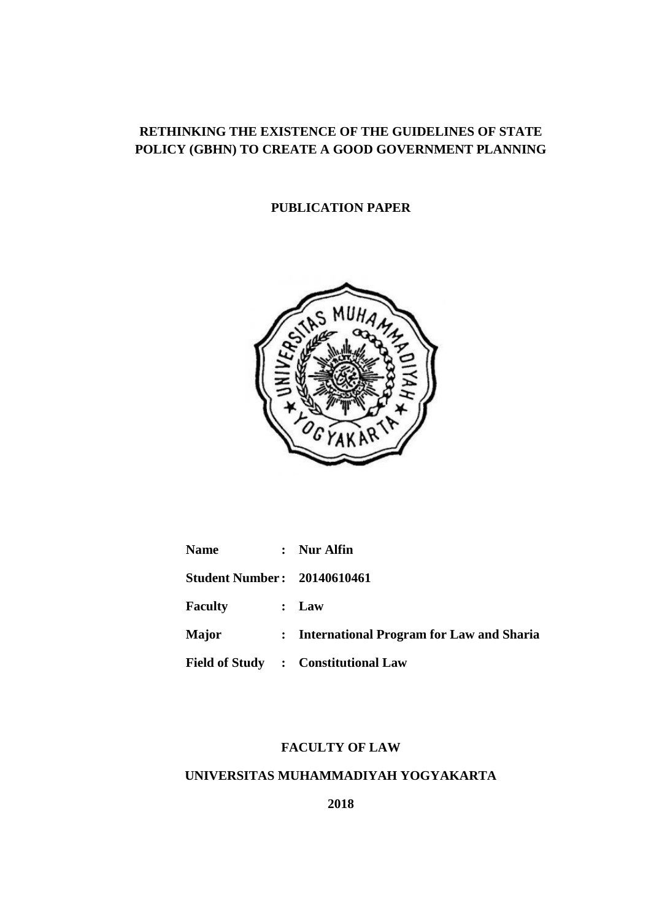# **RETHINKING THE EXISTENCE OF THE GUIDELINES OF STATE POLICY (GBHN) TO CREATE A GOOD GOVERNMENT PLANNING**

# **PUBLICATION PAPER**



| <b>Name</b>                        | : Nur Alfin                                |
|------------------------------------|--------------------------------------------|
| <b>Student Number: 20140610461</b> |                                            |
| <b>Faculty</b>                     | : Law                                      |
| <b>Major</b>                       | : International Program for Law and Sharia |
|                                    | Field of Study : Constitutional Law        |

# **FACULTY OF LAW**

# **UNIVERSITAS MUHAMMADIYAH YOGYAKARTA**

**2018**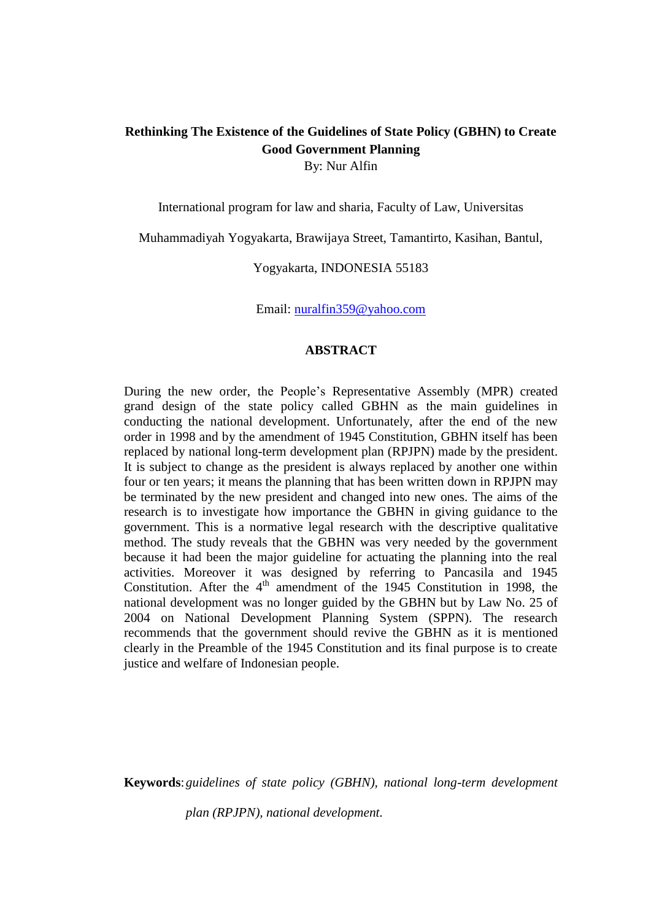# **Rethinking The Existence of the Guidelines of State Policy (GBHN) to Create Good Government Planning** By: Nur Alfin

International program for law and sharia, Faculty of Law, Universitas

Muhammadiyah Yogyakarta, Brawijaya Street, Tamantirto, Kasihan, Bantul,

Yogyakarta, INDONESIA 55183

Email: [nuralfin359@yahoo.com](mailto:nuralfin359@yahoo.com)

#### **ABSTRACT**

During the new order, the People's Representative Assembly (MPR) created grand design of the state policy called GBHN as the main guidelines in conducting the national development. Unfortunately, after the end of the new order in 1998 and by the amendment of 1945 Constitution, GBHN itself has been replaced by national long-term development plan (RPJPN) made by the president. It is subject to change as the president is always replaced by another one within four or ten years; it means the planning that has been written down in RPJPN may be terminated by the new president and changed into new ones. The aims of the research is to investigate how importance the GBHN in giving guidance to the government. This is a normative legal research with the descriptive qualitative method. The study reveals that the GBHN was very needed by the government because it had been the major guideline for actuating the planning into the real activities. Moreover it was designed by referring to Pancasila and 1945 Constitution. After the  $4<sup>th</sup>$  amendment of the 1945 Constitution in 1998, the national development was no longer guided by the GBHN but by Law No. 25 of 2004 on National Development Planning System (SPPN). The research recommends that the government should revive the GBHN as it is mentioned clearly in the Preamble of the 1945 Constitution and its final purpose is to create justice and welfare of Indonesian people.

**Keywords**:*guidelines of state policy (GBHN), national long-term development* 

*plan (RPJPN), national development.*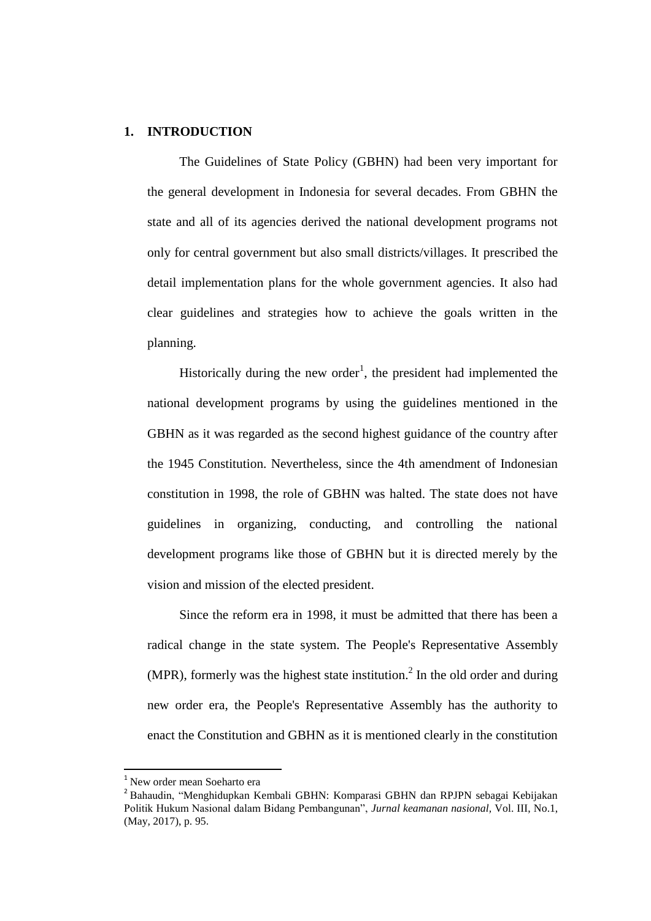# **1. INTRODUCTION**

The Guidelines of State Policy (GBHN) had been very important for the general development in Indonesia for several decades. From GBHN the state and all of its agencies derived the national development programs not only for central government but also small districts/villages. It prescribed the detail implementation plans for the whole government agencies. It also had clear guidelines and strategies how to achieve the goals written in the planning.

Historically during the new order<sup>1</sup>, the president had implemented the national development programs by using the guidelines mentioned in the GBHN as it was regarded as the second highest guidance of the country after the 1945 Constitution. Nevertheless, since the 4th amendment of Indonesian constitution in 1998, the role of GBHN was halted. The state does not have guidelines in organizing, conducting, and controlling the national development programs like those of GBHN but it is directed merely by the vision and mission of the elected president.

Since the reform era in 1998, it must be admitted that there has been a radical change in the state system. The People's Representative Assembly (MPR), formerly was the highest state institution.<sup>2</sup> In the old order and during new order era, the People's Representative Assembly has the authority to enact the Constitution and GBHN as it is mentioned clearly in the constitution

 $\overline{a}$ 

<sup>1</sup> New order mean Soeharto era

<sup>&</sup>lt;sup>2</sup> Bahaudin, "Menghidupkan Kembali GBHN: Komparasi GBHN dan RPJPN sebagai Kebijakan Politik Hukum Nasional dalam Bidang Pembangunan", *Jurnal keamanan nasional,* Vol. III, No.1, (May, 2017), p. 95.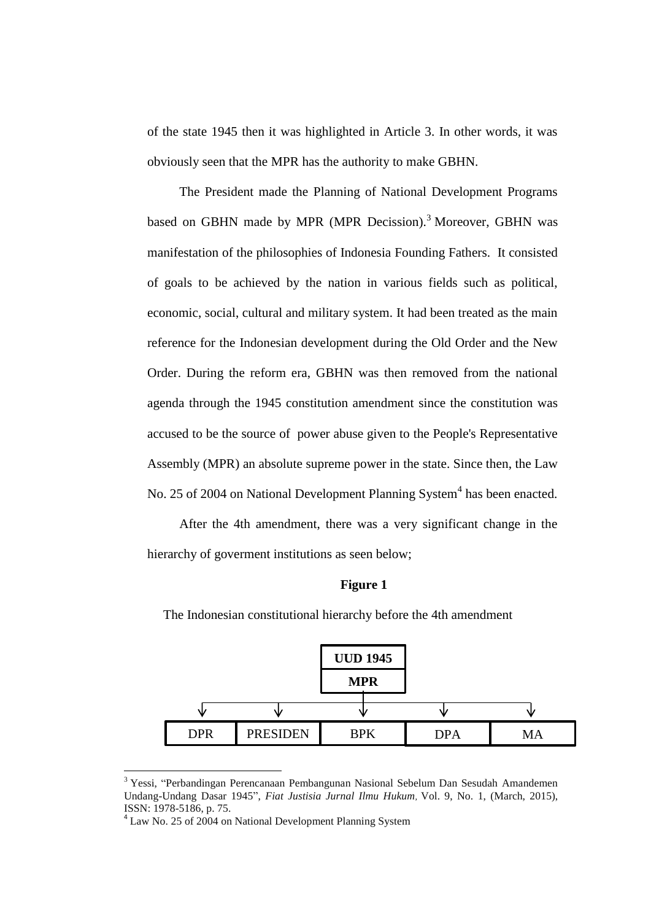of the state 1945 then it was highlighted in Article 3. In other words, it was obviously seen that the MPR has the authority to make GBHN.

The President made the Planning of National Development Programs based on GBHN made by MPR (MPR Decission).<sup>3</sup> Moreover, GBHN was manifestation of the philosophies of Indonesia Founding Fathers. It consisted of goals to be achieved by the nation in various fields such as political, economic, social, cultural and military system. It had been treated as the main reference for the Indonesian development during the Old Order and the New Order. During the reform era, GBHN was then removed from the national agenda through the 1945 constitution amendment since the constitution was accused to be the source of power abuse given to the People's Representative Assembly (MPR) an absolute supreme power in the state. Since then, the Law No. 25 of 2004 on National Development Planning System<sup>4</sup> has been enacted.

After the 4th amendment, there was a very significant change in the hierarchy of goverment institutions as seen below;

#### **Figure 1**



The Indonesian constitutional hierarchy before the 4th amendment

<sup>3</sup> Yessi, "Perbandingan Perencanaan Pembangunan Nasional Sebelum Dan Sesudah Amandemen Undang-Undang Dasar 1945", *Fiat Justisia Jurnal Ilmu Hukum,* Vol. 9, No. 1, (March, 2015), ISSN: 1978-5186, p. 75.

<sup>&</sup>lt;sup>4</sup> Law No. 25 of 2004 on National Development Planning System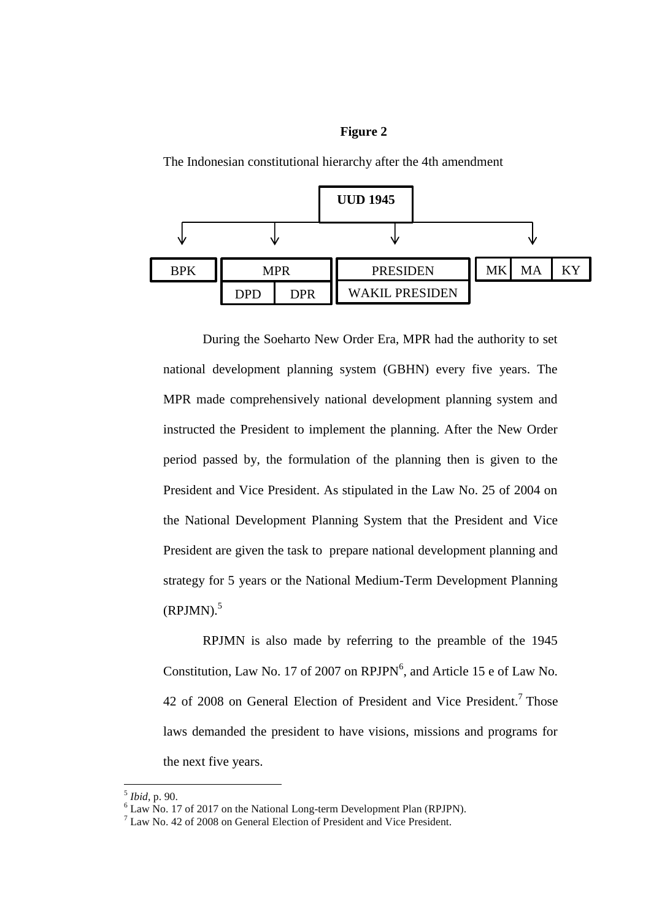### **Figure 2**



The Indonesian constitutional hierarchy after the 4th amendment

During the Soeharto New Order Era, MPR had the authority to set national development planning system (GBHN) every five years. The MPR made comprehensively national development planning system and instructed the President to implement the planning. After the New Order period passed by, the formulation of the planning then is given to the President and Vice President. As stipulated in the Law No. 25 of 2004 on the National Development Planning System that the President and Vice President are given the task to prepare national development planning and strategy for 5 years or the National Medium-Term Development Planning  $(RPJMN).$ <sup>5</sup>

RPJMN is also made by referring to the preamble of the 1945 Constitution, Law No. 17 of 2007 on  $RPJPN^6$ , and Article 15 e of Law No. 42 of 2008 on General Election of President and Vice President.<sup>7</sup> Those laws demanded the president to have visions, missions and programs for the next five years.

<sup>5</sup> *Ibid,* p. 90.

<sup>&</sup>lt;sup>6</sup> Law No. 17 of 2017 on the National Long-term Development Plan (RPJPN).

 $^{7}$  Law No. 42 of 2008 on General Election of President and Vice President.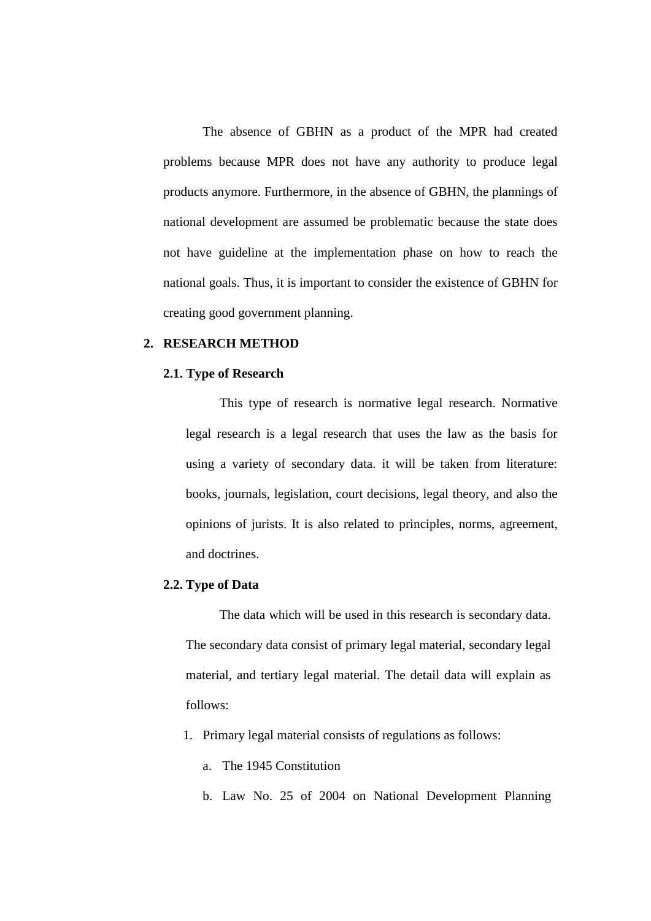The absence of GBHN as a product of the MPR had created problems because MPR does not have any authority to produce legal products anymore. Furthermore, in the absence of GBHN, the plannings of national development are assumed be problematic because the state does not have guideline at the implementation phase on how to reach the national goals. Thus, it is important to consider the existence of GBHN for creating good government planning.

# **2. RESEARCH METHOD**

#### **2.1. Type of Research**

This type of research is normative legal research. Normative legal research is a legal research that uses the law as the basis for using a variety of secondary data. it will be taken from literature: books, journals, legislation, court decisions, legal theory, and also the opinions of jurists. It is also related to principles, norms, agreement, and doctrines.

#### **2.2. Type of Data**

The data which will be used in this research is secondary data. The secondary data consist of primary legal material, secondary legal material, and tertiary legal material. The detail data will explain as follows:

- 1. Primary legal material consists of regulations as follows:
	- a. The 1945 Constitution
	- b. Law No. 25 of 2004 on National Development Planning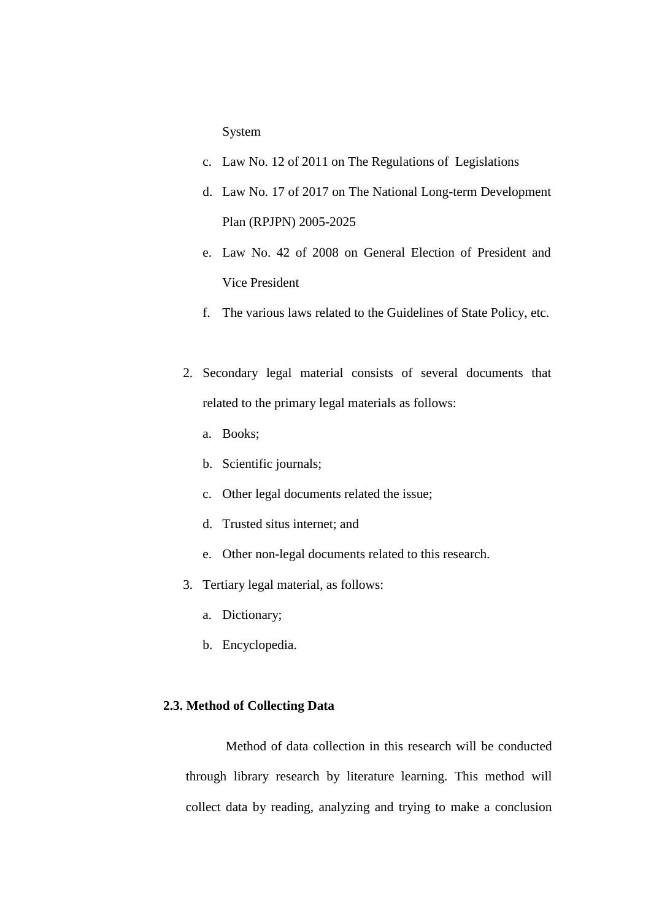System

- c. Law No. 12 of 2011 on The Regulations of Legislations
- d. Law No. 17 of 2017 on The National Long-term Development Plan (RPJPN) 2005-2025
- e. Law No. 42 of 2008 on General Election of President and Vice President
- f. The various laws related to the Guidelines of State Policy, etc.
- 2. Secondary legal material consists of several documents that related to the primary legal materials as follows:
	- a. Books;
	- b. Scientific journals;
	- c. Other legal documents related the issue;
	- d. Trusted situs internet; and
	- e. Other non-legal documents related to this research.
- 3. Tertiary legal material, as follows:
	- a. Dictionary;
	- b. Encyclopedia.

## **2.3. Method of Collecting Data**

Method of data collection in this research will be conducted through library research by literature learning. This method will collect data by reading, analyzing and trying to make a conclusion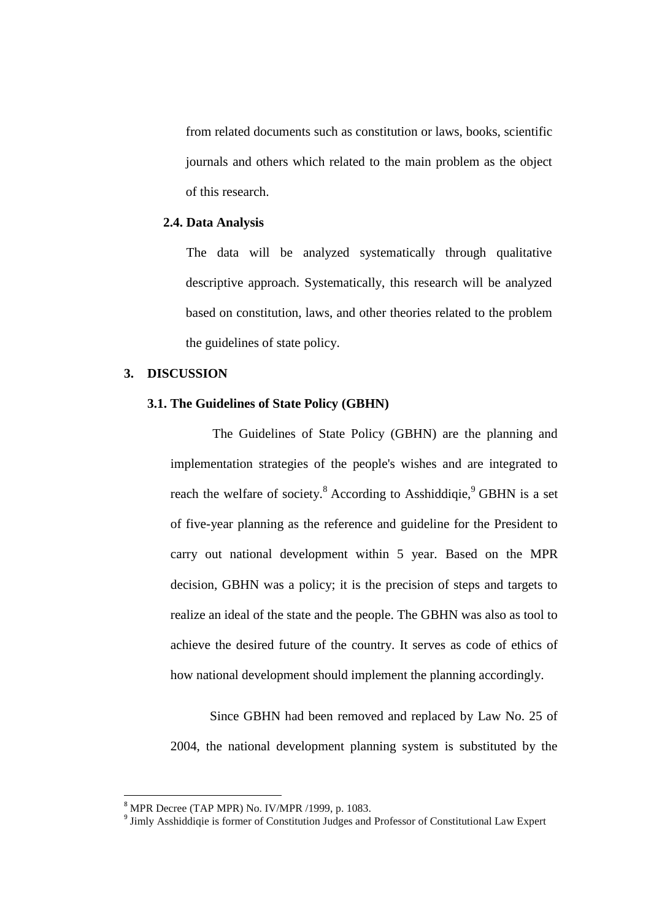from related documents such as constitution or laws, books, scientific journals and others which related to the main problem as the object of this research.

## **2.4. Data Analysis**

The data will be analyzed systematically through qualitative descriptive approach. Systematically, this research will be analyzed based on constitution, laws, and other theories related to the problem the guidelines of state policy.

## **3. DISCUSSION**

# **3.1. The Guidelines of State Policy (GBHN)**

The Guidelines of State Policy (GBHN) are the planning and implementation strategies of the people's wishes and are integrated to reach the welfare of society. $8$  According to Asshiddiqie,  $9$  GBHN is a set of five-year planning as the reference and guideline for the President to carry out national development within 5 year. Based on the MPR decision, GBHN was a policy; it is the precision of steps and targets to realize an ideal of the state and the people. The GBHN was also as tool to achieve the desired future of the country. It serves as code of ethics of how national development should implement the planning accordingly.

Since GBHN had been removed and replaced by Law No. 25 of 2004, the national development planning system is substituted by the

l

 $8$  MPR Decree (TAP MPR) No. IV/MPR /1999, p. 1083.

<sup>&</sup>lt;sup>9</sup> Jimly Asshiddiqie is former of Constitution Judges and Professor of Constitutional Law Expert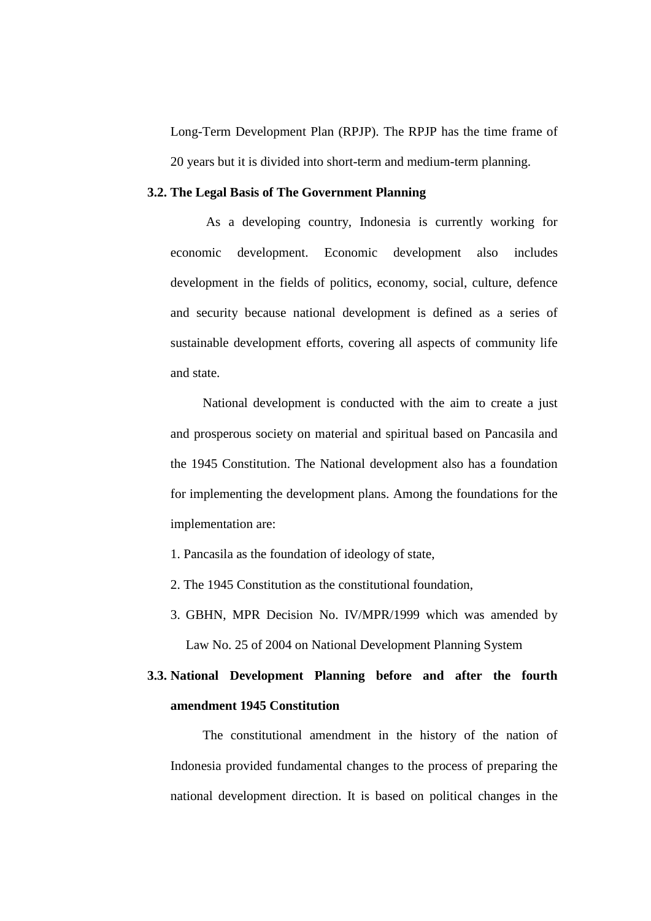Long-Term Development Plan (RPJP). The RPJP has the time frame of 20 years but it is divided into short-term and medium-term planning.

### **3.2. The Legal Basis of The Government Planning**

As a developing country, Indonesia is currently working for economic development. Economic development also includes development in the fields of politics, economy, social, culture, defence and security because national development is defined as a series of sustainable development efforts, covering all aspects of community life and state.

National development is conducted with the aim to create a just and prosperous society on material and spiritual based on Pancasila and the 1945 Constitution. The National development also has a foundation for implementing the development plans. Among the foundations for the implementation are:

- 1. Pancasila as the foundation of ideology of state,
- 2. The 1945 Constitution as the constitutional foundation,
- 3. GBHN, MPR Decision No. IV/MPR/1999 which was amended by Law No. 25 of 2004 on National Development Planning System

# **3.3. National Development Planning before and after the fourth amendment 1945 Constitution**

The constitutional amendment in the history of the nation of Indonesia provided fundamental changes to the process of preparing the national development direction. It is based on political changes in the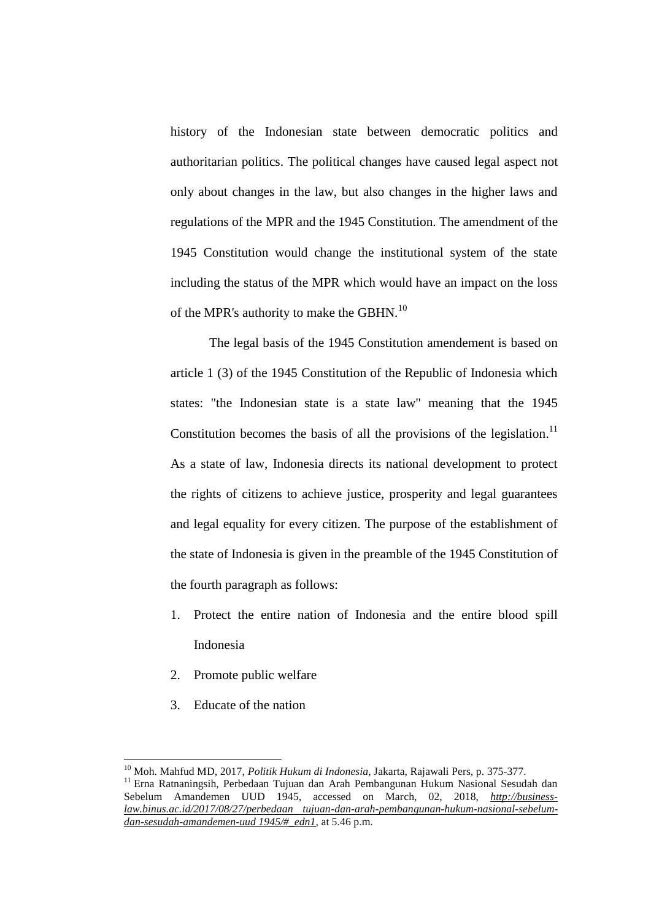history of the Indonesian state between democratic politics and authoritarian politics. The political changes have caused legal aspect not only about changes in the law, but also changes in the higher laws and regulations of the MPR and the 1945 Constitution. The amendment of the 1945 Constitution would change the institutional system of the state including the status of the MPR which would have an impact on the loss of the MPR's authority to make the GBHN.<sup>10</sup>

The legal basis of the 1945 Constitution amendement is based on article 1 (3) of the 1945 Constitution of the Republic of Indonesia which states: "the Indonesian state is a state law" meaning that the 1945 Constitution becomes the basis of all the provisions of the legislation.<sup>11</sup> As a state of law, Indonesia directs its national development to protect the rights of citizens to achieve justice, prosperity and legal guarantees and legal equality for every citizen. The purpose of the establishment of the state of Indonesia is given in the preamble of the 1945 Constitution of the fourth paragraph as follows:

- 1. Protect the entire nation of Indonesia and the entire blood spill Indonesia
- 2. Promote public welfare
- 3. Educate of the nation

 $\overline{a}$ 

<sup>10</sup> Moh. Mahfud MD, 2017, *Politik Hukum di Indonesia*, Jakarta, Rajawali Pers, p. 375-377.

<sup>&</sup>lt;sup>11</sup> Erna Ratnaningsih, Perbedaan Tujuan dan Arah Pembangunan Hukum Nasional Sesudah dan Sebelum Amandemen UUD 1945, accessed on March, 02, 2018, *[http://business](http://business-law.binus.ac.id/2017/08/27/perbedaan%20tujuan-dan-arah-pembangunan-hukum-nasional-sebelum-dan-sesudah-amandemen-uud%201945/#_edn1)[law.binus.ac.id/2017/08/27/perbedaan tujuan-dan-arah-pembangunan-hukum-nasional-sebelum](http://business-law.binus.ac.id/2017/08/27/perbedaan%20tujuan-dan-arah-pembangunan-hukum-nasional-sebelum-dan-sesudah-amandemen-uud%201945/#_edn1)[dan-sesudah-amandemen-uud 1945/#\\_edn1](http://business-law.binus.ac.id/2017/08/27/perbedaan%20tujuan-dan-arah-pembangunan-hukum-nasional-sebelum-dan-sesudah-amandemen-uud%201945/#_edn1)*, at 5.46 p.m.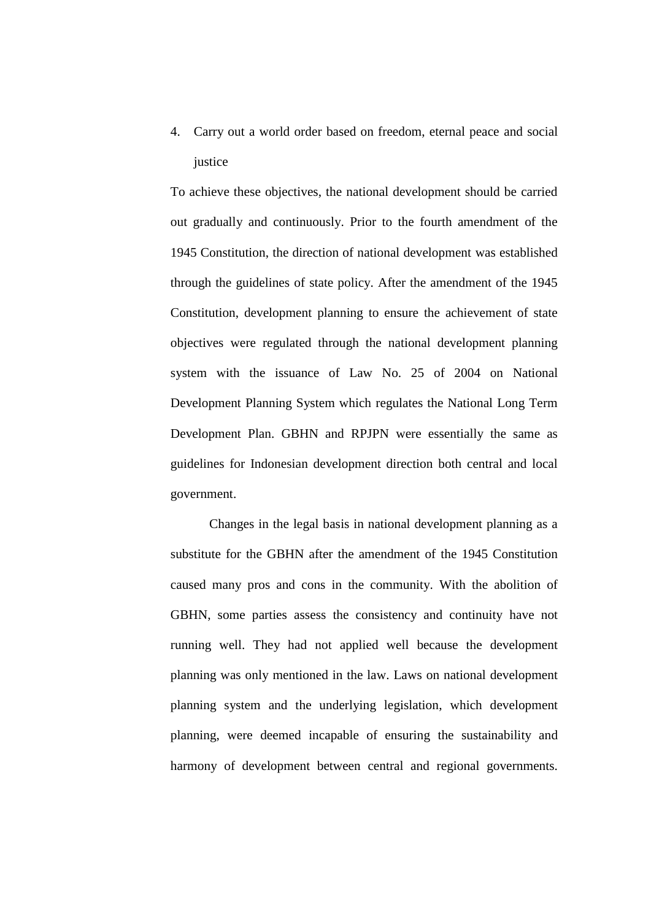4. Carry out a world order based on freedom, eternal peace and social justice

To achieve these objectives, the national development should be carried out gradually and continuously. Prior to the fourth amendment of the 1945 Constitution, the direction of national development was established through the guidelines of state policy. After the amendment of the 1945 Constitution, development planning to ensure the achievement of state objectives were regulated through the national development planning system with the issuance of Law No. 25 of 2004 on National Development Planning System which regulates the National Long Term Development Plan. GBHN and RPJPN were essentially the same as guidelines for Indonesian development direction both central and local government.

Changes in the legal basis in national development planning as a substitute for the GBHN after the amendment of the 1945 Constitution caused many pros and cons in the community. With the abolition of GBHN, some parties assess the consistency and continuity have not running well. They had not applied well because the development planning was only mentioned in the law. Laws on national development planning system and the underlying legislation, which development planning, were deemed incapable of ensuring the sustainability and harmony of development between central and regional governments.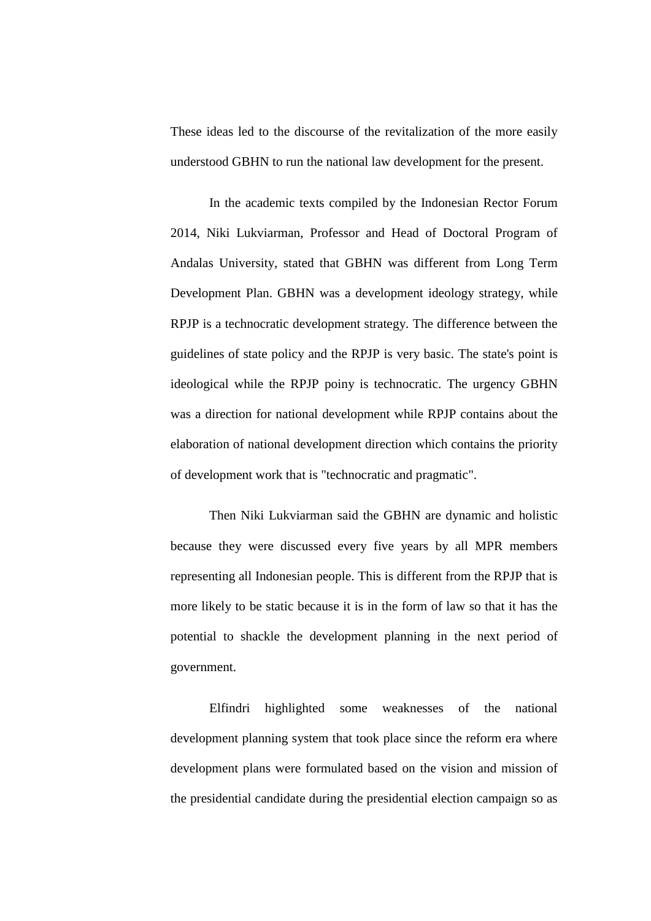These ideas led to the discourse of the revitalization of the more easily understood GBHN to run the national law development for the present.

In the academic texts compiled by the Indonesian Rector Forum 2014, Niki Lukviarman, Professor and Head of Doctoral Program of Andalas University, stated that GBHN was different from Long Term Development Plan. GBHN was a development ideology strategy, while RPJP is a technocratic development strategy. The difference between the guidelines of state policy and the RPJP is very basic. The state's point is ideological while the RPJP poiny is technocratic. The urgency GBHN was a direction for national development while RPJP contains about the elaboration of national development direction which contains the priority of development work that is "technocratic and pragmatic".

Then Niki Lukviarman said the GBHN are dynamic and holistic because they were discussed every five years by all MPR members representing all Indonesian people. This is different from the RPJP that is more likely to be static because it is in the form of law so that it has the potential to shackle the development planning in the next period of government.

Elfindri highlighted some weaknesses of the national development planning system that took place since the reform era where development plans were formulated based on the vision and mission of the presidential candidate during the presidential election campaign so as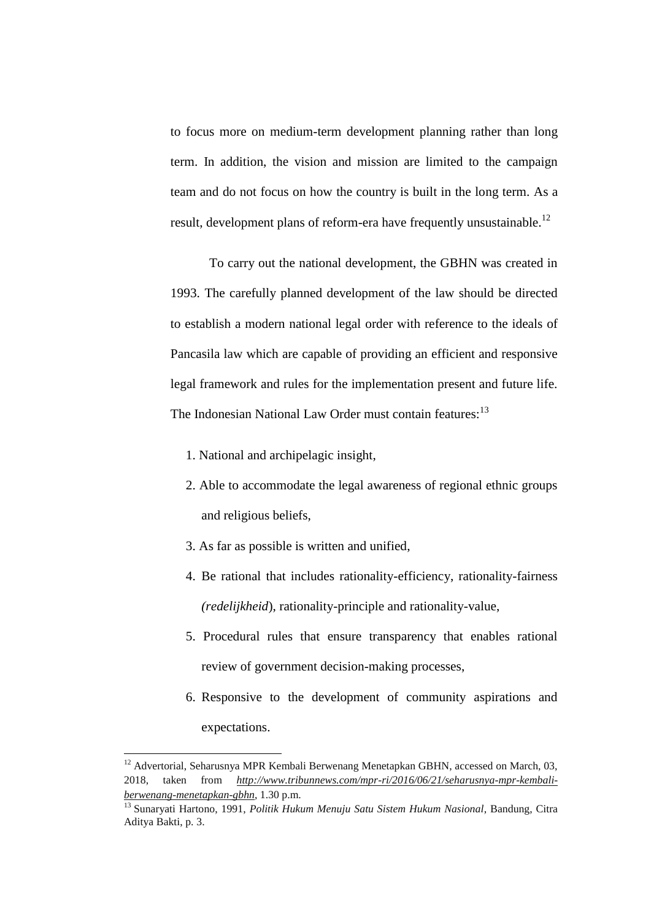to focus more on medium-term development planning rather than long term. In addition, the vision and mission are limited to the campaign team and do not focus on how the country is built in the long term. As a result, development plans of reform-era have frequently unsustainable.<sup>12</sup>

To carry out the national development, the GBHN was created in 1993. The carefully planned development of the law should be directed to establish a modern national legal order with reference to the ideals of Pancasila law which are capable of providing an efficient and responsive legal framework and rules for the implementation present and future life. The Indonesian National Law Order must contain features:<sup>13</sup>

- 1. National and archipelagic insight,
- 2. Able to accommodate the legal awareness of regional ethnic groups and religious beliefs,
- 3. As far as possible is written and unified,

 $\overline{a}$ 

- 4. Be rational that includes rationality-efficiency, rationality-fairness *(redelijkheid*), rationality-principle and rationality-value,
- 5. Procedural rules that ensure transparency that enables rational review of government decision-making processes,
- 6. Responsive to the development of community aspirations and expectations.

 $12$  Advertorial, Seharusnya MPR Kembali Berwenang Menetapkan GBHN, accessed on March, 03, 2018, taken from *[http://www.tribunnews.com/mpr-ri/2016/06/21/seharusnya-mpr-kembali](http://www.tribunnews.com/mpr-ri/2016/06/21/seharusnya-mpr-kembali-berwenang-menetapkan-gbhn)[berwenang-menetapkan-gbhn](http://www.tribunnews.com/mpr-ri/2016/06/21/seharusnya-mpr-kembali-berwenang-menetapkan-gbhn)*, 1.30 p.m.

<sup>13</sup> Sunaryati Hartono, 1991, *Politik Hukum Menuju Satu Sistem Hukum Nasional*, Bandung, Citra Aditya Bakti, p. 3.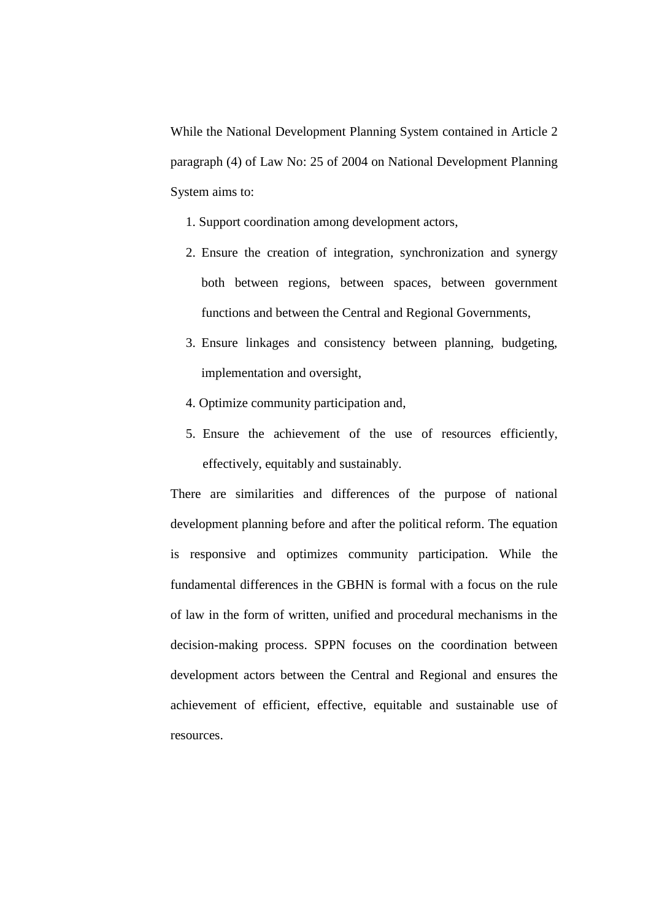While the National Development Planning System contained in Article 2 paragraph (4) of Law No: 25 of 2004 on National Development Planning System aims to:

- 1. Support coordination among development actors,
- 2. Ensure the creation of integration, synchronization and synergy both between regions, between spaces, between government functions and between the Central and Regional Governments,
- 3. Ensure linkages and consistency between planning, budgeting, implementation and oversight,
- 4. Optimize community participation and,
- 5. Ensure the achievement of the use of resources efficiently, effectively, equitably and sustainably.

There are similarities and differences of the purpose of national development planning before and after the political reform. The equation is responsive and optimizes community participation. While the fundamental differences in the GBHN is formal with a focus on the rule of law in the form of written, unified and procedural mechanisms in the decision-making process. SPPN focuses on the coordination between development actors between the Central and Regional and ensures the achievement of efficient, effective, equitable and sustainable use of resources.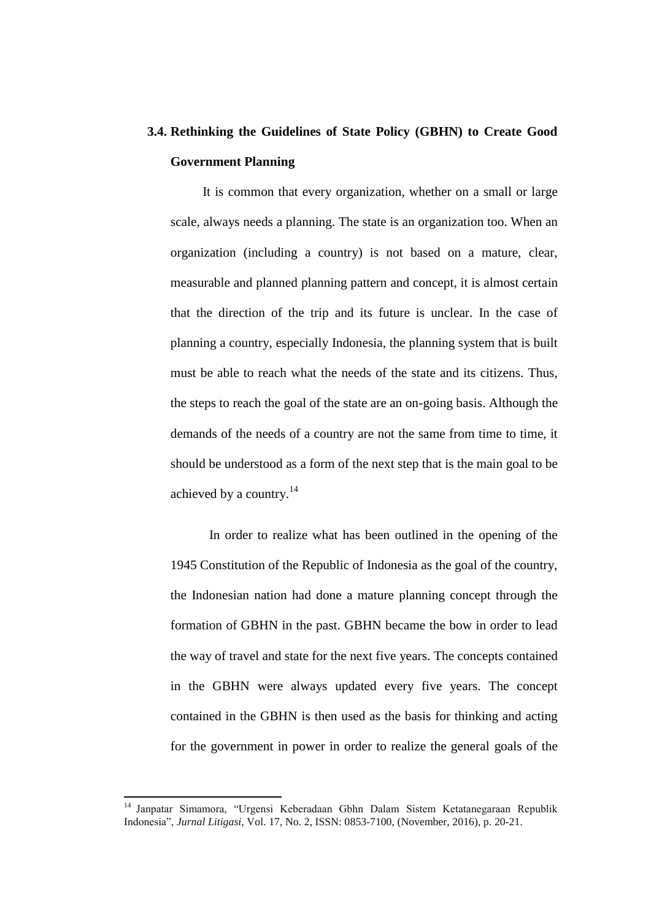# **3.4. Rethinking the Guidelines of State Policy (GBHN) to Create Good Government Planning**

It is common that every organization, whether on a small or large scale, always needs a planning. The state is an organization too. When an organization (including a country) is not based on a mature, clear, measurable and planned planning pattern and concept, it is almost certain that the direction of the trip and its future is unclear. In the case of planning a country, especially Indonesia, the planning system that is built must be able to reach what the needs of the state and its citizens. Thus, the steps to reach the goal of the state are an on-going basis. Although the demands of the needs of a country are not the same from time to time, it should be understood as a form of the next step that is the main goal to be achieved by a country.<sup>14</sup>

In order to realize what has been outlined in the opening of the 1945 Constitution of the Republic of Indonesia as the goal of the country, the Indonesian nation had done a mature planning concept through the formation of GBHN in the past. GBHN became the bow in order to lead the way of travel and state for the next five years. The concepts contained in the GBHN were always updated every five years. The concept contained in the GBHN is then used as the basis for thinking and acting for the government in power in order to realize the general goals of the

 $\overline{a}$ 

<sup>14</sup> Janpatar Simamora, "Urgensi Keberadaan Gbhn Dalam Sistem Ketatanegaraan Republik Indonesia", *Jurnal Litigasi*, Vol. 17, No. 2, ISSN: 0853-7100, (November, 2016), p. 20-21.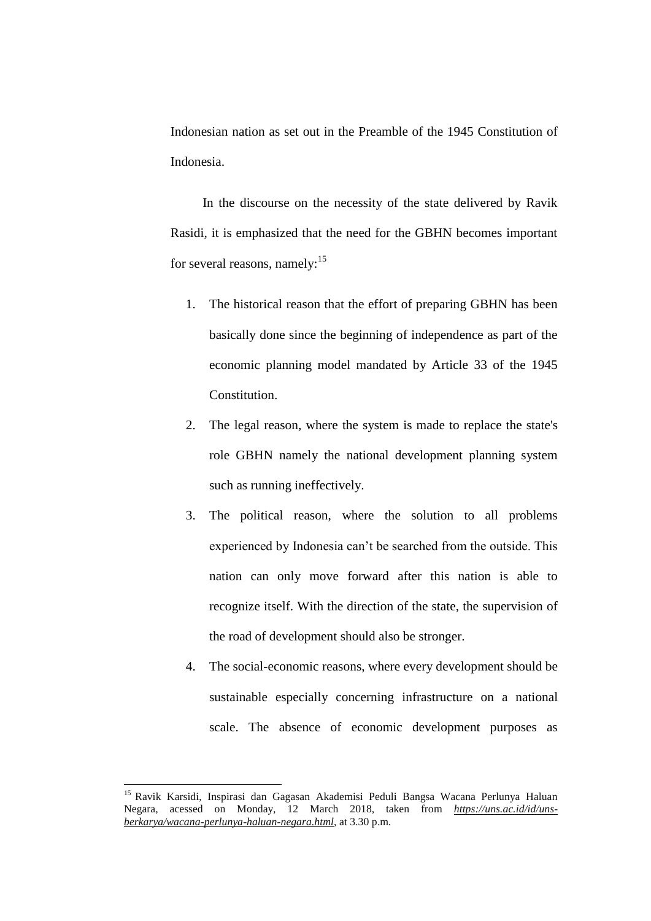Indonesian nation as set out in the Preamble of the 1945 Constitution of Indonesia.

In the discourse on the necessity of the state delivered by Ravik Rasidi, it is emphasized that the need for the GBHN becomes important for several reasons, namely: $15$ 

- 1. The historical reason that the effort of preparing GBHN has been basically done since the beginning of independence as part of the economic planning model mandated by Article 33 of the 1945 Constitution.
- 2. The legal reason, where the system is made to replace the state's role GBHN namely the national development planning system such as running ineffectively.
- 3. The political reason, where the solution to all problems experienced by Indonesia can't be searched from the outside. This nation can only move forward after this nation is able to recognize itself. With the direction of the state, the supervision of the road of development should also be stronger.
- 4. The social-economic reasons, where every development should be sustainable especially concerning infrastructure on a national scale. The absence of economic development purposes as

<sup>&</sup>lt;sup>15</sup> Ravik Karsidi, Inspirasi dan Gagasan Akademisi Peduli Bangsa Wacana Perlunya Haluan Negara, acessed on Monday, 12 March 2018, taken from *[https://uns.ac.id/id/uns](https://uns.ac.id/id/uns-berkarya/wacana-perlunya-haluan-negara.html)[berkarya/wacana-perlunya-haluan-negara.html](https://uns.ac.id/id/uns-berkarya/wacana-perlunya-haluan-negara.html)*, at 3.30 p.m.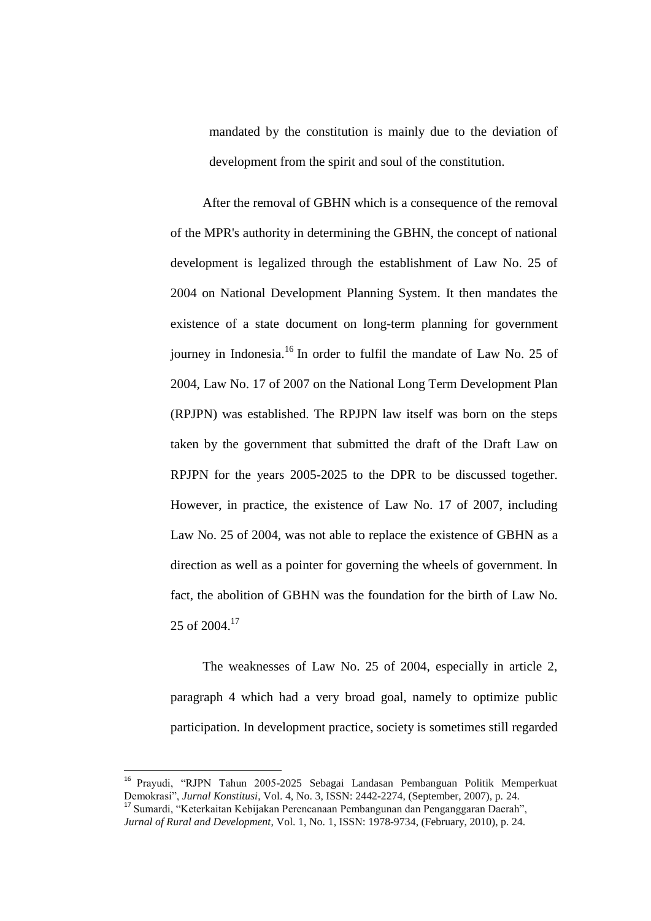mandated by the constitution is mainly due to the deviation of development from the spirit and soul of the constitution.

After the removal of GBHN which is a consequence of the removal of the MPR's authority in determining the GBHN, the concept of national development is legalized through the establishment of Law No. 25 of 2004 on National Development Planning System. It then mandates the existence of a state document on long-term planning for government journey in Indonesia.<sup>16</sup> In order to fulfil the mandate of Law No. 25 of 2004, Law No. 17 of 2007 on the National Long Term Development Plan (RPJPN) was established. The RPJPN law itself was born on the steps taken by the government that submitted the draft of the Draft Law on RPJPN for the years 2005-2025 to the DPR to be discussed together. However, in practice, the existence of Law No. 17 of 2007, including Law No. 25 of 2004, was not able to replace the existence of GBHN as a direction as well as a pointer for governing the wheels of government. In fact, the abolition of GBHN was the foundation for the birth of Law No.  $25$  of  $2004.<sup>17</sup>$ 

The weaknesses of Law No. 25 of 2004, especially in article 2, paragraph 4 which had a very broad goal, namely to optimize public participation. In development practice, society is sometimes still regarded

<sup>16</sup> Prayudi, "RJPN Tahun 2005-2025 Sebagai Landasan Pembanguan Politik Memperkuat Demokrasi", *Jurnal Konstitusi*, Vol. 4, No. 3, ISSN: 2442-2274, (September, 2007), p. 24. <sup>17</sup> Sumardi, "Keterkaitan Kebijakan Perencanaan Pembangunan dan Penganggaran Daerah",

*Jurnal of Rural and Development*, Vol. 1, No. 1, ISSN: 1978-9734, (February, 2010), p. 24.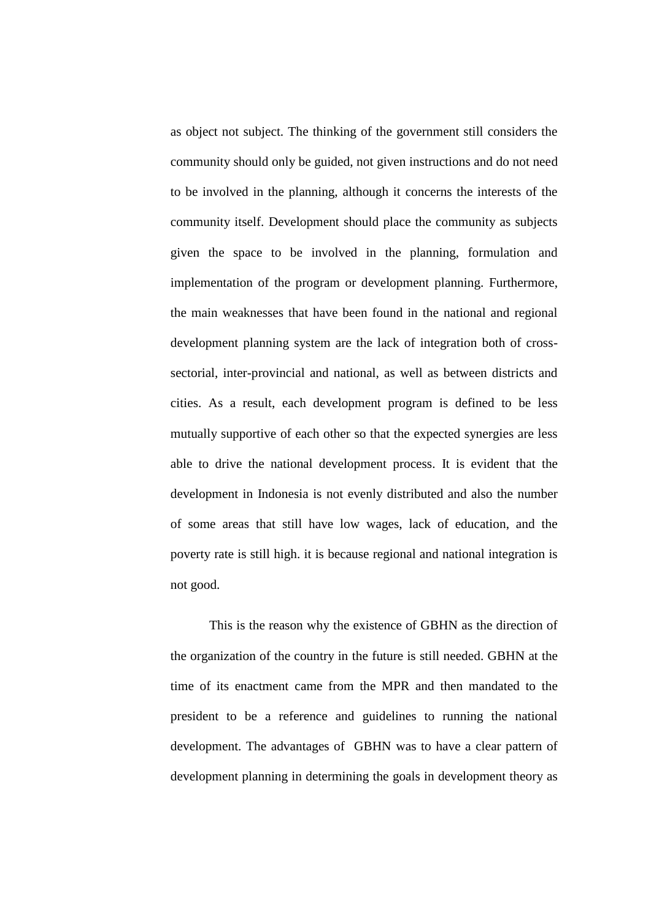as object not subject. The thinking of the government still considers the community should only be guided, not given instructions and do not need to be involved in the planning, although it concerns the interests of the community itself. Development should place the community as subjects given the space to be involved in the planning, formulation and implementation of the program or development planning. Furthermore, the main weaknesses that have been found in the national and regional development planning system are the lack of integration both of crosssectorial, inter-provincial and national, as well as between districts and cities. As a result, each development program is defined to be less mutually supportive of each other so that the expected synergies are less able to drive the national development process. It is evident that the development in Indonesia is not evenly distributed and also the number of some areas that still have low wages, lack of education, and the poverty rate is still high. it is because regional and national integration is not good.

This is the reason why the existence of GBHN as the direction of the organization of the country in the future is still needed. GBHN at the time of its enactment came from the MPR and then mandated to the president to be a reference and guidelines to running the national development. The advantages of GBHN was to have a clear pattern of development planning in determining the goals in development theory as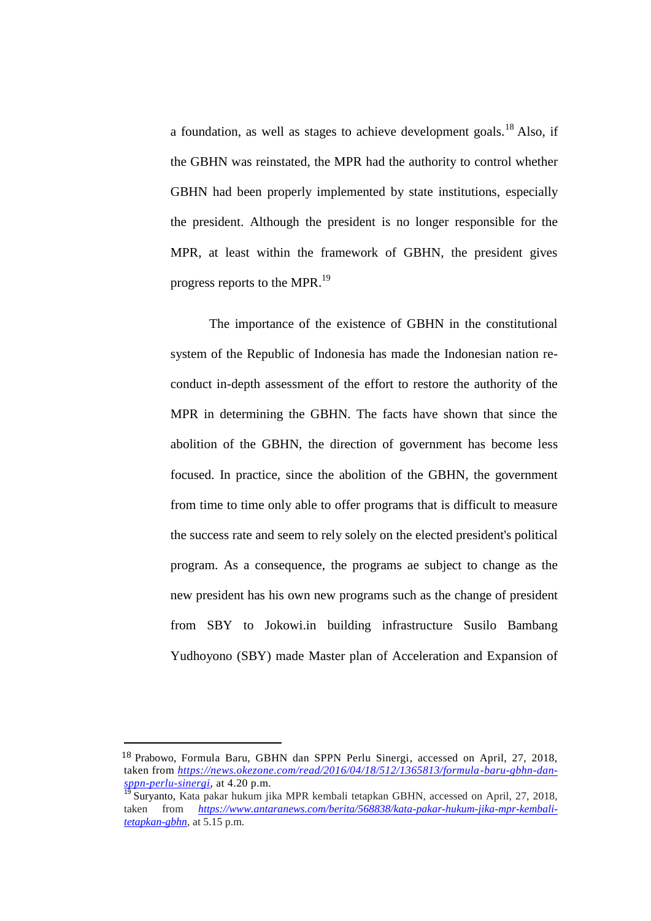a foundation, as well as stages to achieve development goals.<sup>18</sup> Also, if the GBHN was reinstated, the MPR had the authority to control whether GBHN had been properly implemented by state institutions, especially the president. Although the president is no longer responsible for the MPR, at least within the framework of GBHN, the president gives progress reports to the MPR.<sup>19</sup>

The importance of the existence of GBHN in the constitutional system of the Republic of Indonesia has made the Indonesian nation reconduct in-depth assessment of the effort to restore the authority of the MPR in determining the GBHN. The facts have shown that since the abolition of the GBHN, the direction of government has become less focused. In practice, since the abolition of the GBHN, the government from time to time only able to offer programs that is difficult to measure the success rate and seem to rely solely on the elected president's political program. As a consequence, the programs ae subject to change as the new president has his own new programs such as the change of president from SBY to Jokowi.in building infrastructure Susilo Bambang Yudhoyono (SBY) made Master plan of Acceleration and Expansion of

<sup>18</sup> Prabowo, Formula Baru, GBHN dan SPPN Perlu Sinergi, accessed on April, 27, 2018, taken from *[https://news.okezone.com/read/2016/04/18/512/1365813/formula-baru-gbhn-dan](https://news.okezone.com/read/2016/04/18/512/1365813/formula-baru-gbhn-dan-sppn-perlu-sinergi)[sppn-perlu-sinergi,](https://news.okezone.com/read/2016/04/18/512/1365813/formula-baru-gbhn-dan-sppn-perlu-sinergi)* at 4.20 p.m.

<sup>&</sup>lt;sup>19</sup> Suryanto, Kata pakar hukum jika MPR kembali tetapkan GBHN, accessed on April, 27, 2018, taken from *[https://www.antaranews.com/berita/568838/kata-pakar-hukum-jika-mpr-kembali](https://www.antaranews.com/berita/568838/kata-pakar-hukum-jika-mpr-kembali-tetapkan-gbhn)[tetapkan-gbhn,](https://www.antaranews.com/berita/568838/kata-pakar-hukum-jika-mpr-kembali-tetapkan-gbhn)* at 5.15 p.m.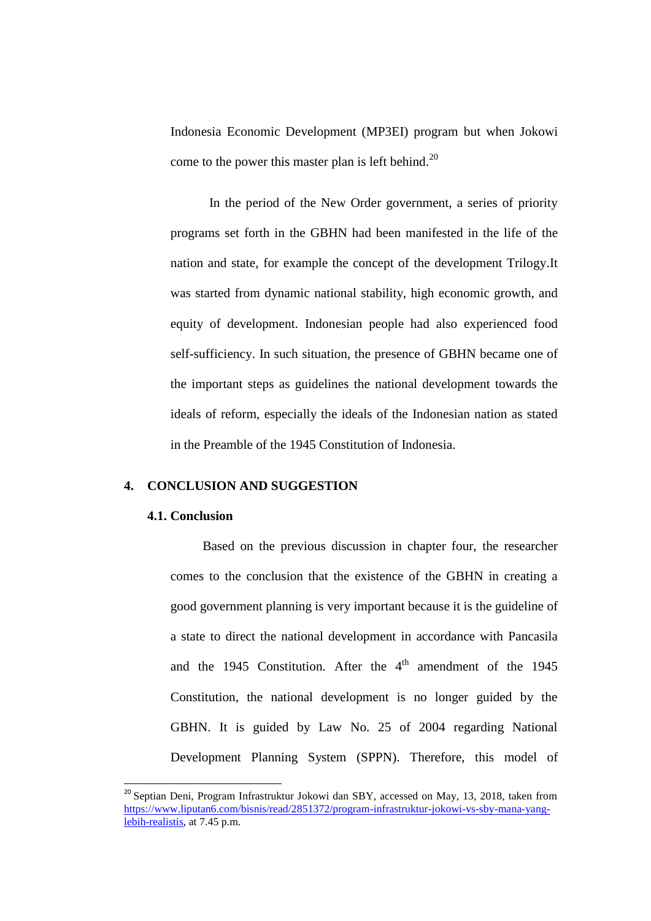Indonesia Economic Development (MP3EI) program but when Jokowi come to the power this master plan is left behind.<sup>20</sup>

In the period of the New Order government, a series of priority programs set forth in the GBHN had been manifested in the life of the nation and state, for example the concept of the development Trilogy.It was started from dynamic national stability, high economic growth, and equity of development. Indonesian people had also experienced food self-sufficiency. In such situation, the presence of GBHN became one of the important steps as guidelines the national development towards the ideals of reform, especially the ideals of the Indonesian nation as stated in the Preamble of the 1945 Constitution of Indonesia.

# **4. CONCLUSION AND SUGGESTION**

#### **4.1. Conclusion**

 $\overline{\phantom{a}}$ 

Based on the previous discussion in chapter four, the researcher comes to the conclusion that the existence of the GBHN in creating a good government planning is very important because it is the guideline of a state to direct the national development in accordance with Pancasila and the 1945 Constitution. After the  $4<sup>th</sup>$  amendment of the 1945 Constitution, the national development is no longer guided by the GBHN. It is guided by Law No. 25 of 2004 regarding National Development Planning System (SPPN). Therefore, this model of

<sup>&</sup>lt;sup>20</sup> Septian Deni, Program Infrastruktur Jokowi dan SBY, accessed on May, 13, 2018, taken from [https://www.liputan6.com/bisnis/read/2851372/program-infrastruktur-jokowi-vs-sby-mana-yang](https://www.liputan6.com/bisnis/read/2851372/program-infrastruktur-jokowi-vs-sby-mana-yang-lebih-realistis)[lebih-realistis,](https://www.liputan6.com/bisnis/read/2851372/program-infrastruktur-jokowi-vs-sby-mana-yang-lebih-realistis) at 7.45 p.m.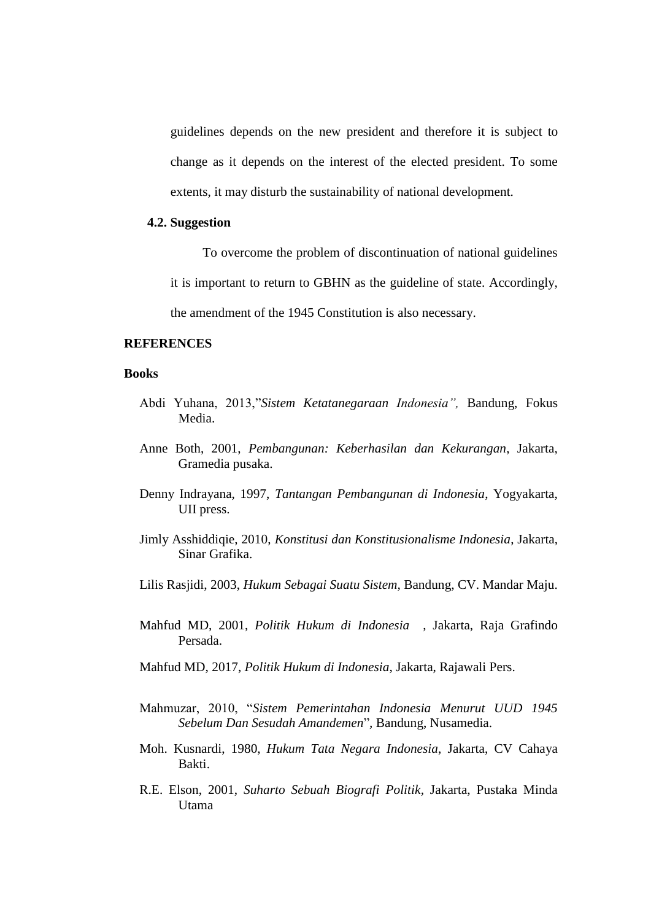guidelines depends on the new president and therefore it is subject to change as it depends on the interest of the elected president. To some extents, it may disturb the sustainability of national development.

## **4.2. Suggestion**

To overcome the problem of discontinuation of national guidelines

it is important to return to GBHN as the guideline of state. Accordingly,

the amendment of the 1945 Constitution is also necessary.

#### **REFERENCES**

#### **Books**

- Abdi Yuhana, 2013,"*Sistem Ketatanegaraan Indonesia",* Bandung, Fokus Media.
- Anne Both, 2001, *Pembangunan: Keberhasilan dan Kekurangan*, Jakarta, Gramedia pusaka.
- Denny Indrayana, 1997, *Tantangan Pembangunan di Indonesia*, Yogyakarta, UII press.
- Jimly Asshiddiqie, 2010, *Konstitusi dan Konstitusionalisme Indonesia*, Jakarta, Sinar Grafika.
- Lilis Rasjidi, 2003, *Hukum Sebagai Suatu Sistem,* Bandung, CV. Mandar Maju.
- Mahfud MD, 2001, *Politik Hukum di Indonesia* , Jakarta, Raja Grafindo Persada.
- Mahfud MD, 2017, *Politik Hukum di Indonesia*, Jakarta, Rajawali Pers.
- Mahmuzar, 2010, "*Sistem Pemerintahan Indonesia Menurut UUD 1945 Sebelum Dan Sesudah Amandemen*"*,* Bandung, Nusamedia.
- Moh. Kusnardi, 1980, *Hukum Tata Negara Indonesia*, Jakarta, CV Cahaya Bakti.
- R.E. Elson, 2001, *Suharto Sebuah Biografi Politik,* Jakarta, Pustaka Minda Utama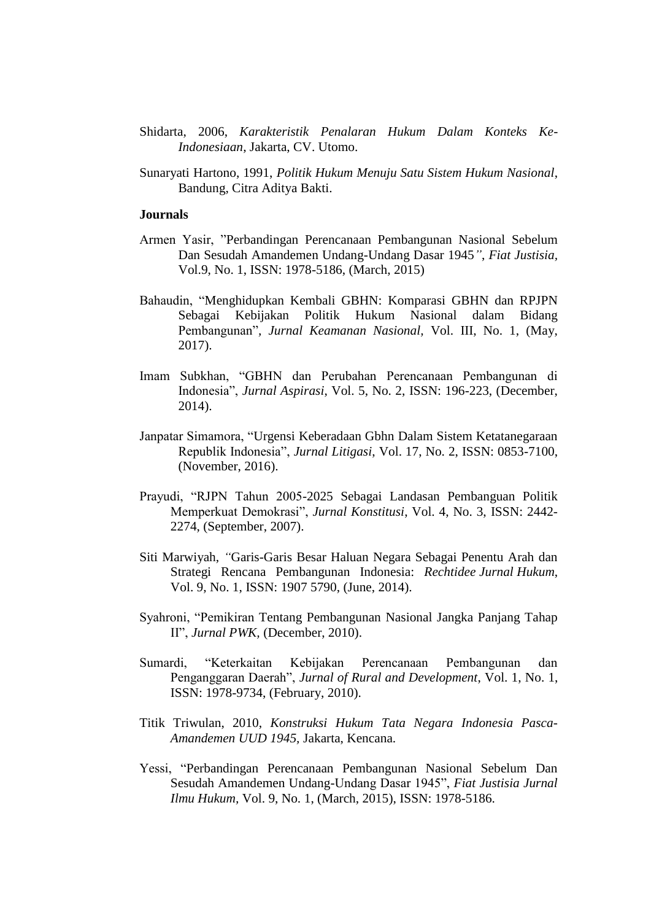- Shidarta, 2006, *Karakteristik Penalaran Hukum Dalam Konteks Ke-Indonesiaan*, Jakarta, CV. Utomo.
- Sunaryati Hartono, 1991, *Politik Hukum Menuju Satu Sistem Hukum Nasional*, Bandung, Citra Aditya Bakti.

#### **Journals**

- Armen Yasir, "Perbandingan Perencanaan Pembangunan Nasional Sebelum Dan Sesudah Amandemen Undang-Undang Dasar 1945*"*, *Fiat Justisia,*  Vol.9, No. 1, ISSN: 1978-5186, (March, 2015)
- Bahaudin, "Menghidupkan Kembali GBHN: Komparasi GBHN dan RPJPN Sebagai Kebijakan Politik Hukum Nasional dalam Bidang Pembangunan"*, Jurnal Keamanan Nasional,* Vol. III, No. 1, (May, 2017).
- Imam Subkhan, "GBHN dan Perubahan Perencanaan Pembangunan di Indonesia", *Jurnal Aspirasi*, Vol. 5, No. 2, ISSN: 196-223, (December, 2014).
- Janpatar Simamora, "Urgensi Keberadaan Gbhn Dalam Sistem Ketatanegaraan Republik Indonesia", *Jurnal Litigasi*, Vol. 17, No. 2, ISSN: 0853-7100, (November, 2016).
- Prayudi, "RJPN Tahun 2005-2025 Sebagai Landasan Pembanguan Politik Memperkuat Demokrasi", *Jurnal Konstitusi*, Vol. 4, No. 3, ISSN: 2442- 2274, (September, 2007).
- Siti Marwiyah, *"*Garis-Garis Besar Haluan Negara Sebagai Penentu Arah dan Strategi Rencana Pembangunan Indonesia: *Rechtidee Jurnal Hukum*, Vol. 9, No. 1, ISSN: 1907 5790, (June, 2014).
- Syahroni, "Pemikiran Tentang Pembangunan Nasional Jangka Panjang Tahap II", *Jurnal PWK,* (December, 2010).
- Sumardi, "Keterkaitan Kebijakan Perencanaan Pembangunan dan Penganggaran Daerah", *Jurnal of Rural and Development*, Vol. 1, No. 1, ISSN: 1978-9734, (February, 2010).
- Titik Triwulan, 2010, *Konstruksi Hukum Tata Negara Indonesia Pasca-Amandemen UUD 1945,* Jakarta, Kencana.
- Yessi, "Perbandingan Perencanaan Pembangunan Nasional Sebelum Dan Sesudah Amandemen Undang-Undang Dasar 1945", *Fiat Justisia Jurnal Ilmu Hukum,* Vol. 9, No. 1, (March, 2015), ISSN: 1978-5186.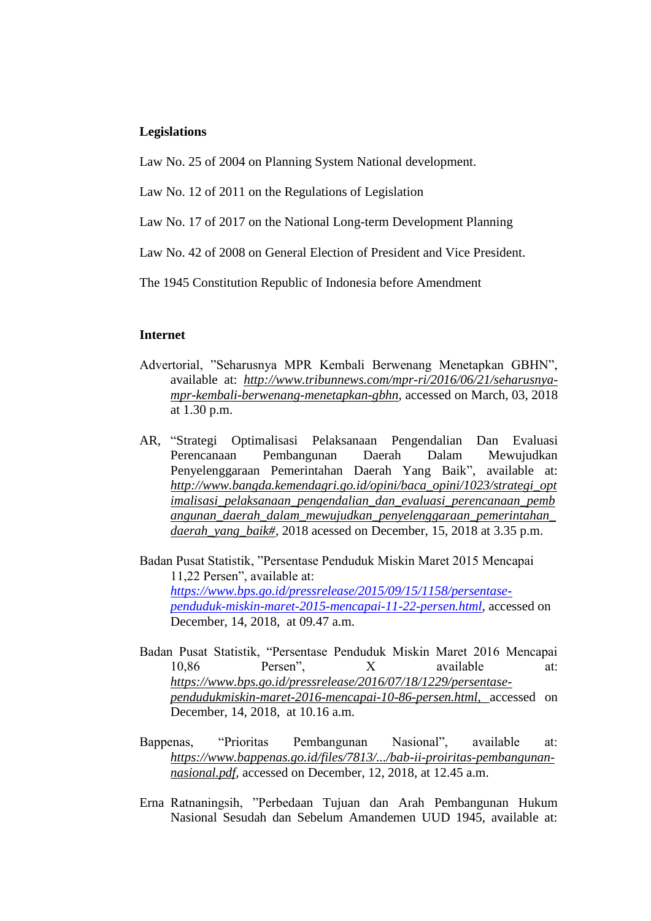#### **Legislations**

Law No. 25 of 2004 on Planning System National development.

Law No. 12 of 2011 on the Regulations of Legislation

Law No. 17 of 2017 on the National Long-term Development Planning

Law No. 42 of 2008 on General Election of President and Vice President.

The 1945 Constitution Republic of Indonesia before Amendment

#### **Internet**

- Advertorial, "Seharusnya MPR Kembali Berwenang Menetapkan GBHN", available at: *[http://www.tribunnews.com/mpr-ri/2016/06/21/seharusnya](http://www.tribunnews.com/mpr-ri/2016/06/21/seharusnya-mpr-kembali-berwenang-menetapkan-gbhn)[mpr-kembali-berwenang-menetapkan-gbhn](http://www.tribunnews.com/mpr-ri/2016/06/21/seharusnya-mpr-kembali-berwenang-menetapkan-gbhn)*, accessed on March, 03, 2018 at 1.30 p.m.
- AR, ["Strategi Optimalisasi Pelaksanaan Pengendalian Dan Evaluasi](http://www.bangda.kemendagri.go.id/opini/baca_opini/1023/strategi_optimalisasi_pelaksanaan_pengendalian_dan_evaluasi_perencanaan_pembangunan_daerah_dalam_mewujudkan_penyelenggaraan_pemerintahan_daerah_yang_baik)  [Perencanaan Pembangunan Daerah Dalam Mewujudkan](http://www.bangda.kemendagri.go.id/opini/baca_opini/1023/strategi_optimalisasi_pelaksanaan_pengendalian_dan_evaluasi_perencanaan_pembangunan_daerah_dalam_mewujudkan_penyelenggaraan_pemerintahan_daerah_yang_baik)  [Penyelenggaraan Pemerintahan Daerah Yang Baik"](http://www.bangda.kemendagri.go.id/opini/baca_opini/1023/strategi_optimalisasi_pelaksanaan_pengendalian_dan_evaluasi_perencanaan_pembangunan_daerah_dalam_mewujudkan_penyelenggaraan_pemerintahan_daerah_yang_baik), available at: *[http://www.bangda.kemendagri.go.id/opini/baca\\_opini/1023/strategi\\_opt](http://www.bangda.kemendagri.go.id/opini/baca_opini/1023/strategi_optimalisasi_pelaksanaan_pengendalian_dan_evaluasi_perencanaan_pembangunan_daerah_dalam_mewujudkan_penyelenggaraan_pemerintahan_daerah_yang_baik) [imalisasi\\_pelaksanaan\\_pengendalian\\_dan\\_evaluasi\\_perencanaan\\_pemb](http://www.bangda.kemendagri.go.id/opini/baca_opini/1023/strategi_optimalisasi_pelaksanaan_pengendalian_dan_evaluasi_perencanaan_pembangunan_daerah_dalam_mewujudkan_penyelenggaraan_pemerintahan_daerah_yang_baik) [angunan\\_daerah\\_dalam\\_mewujudkan\\_penyelenggaraan\\_pemerintahan\\_](http://www.bangda.kemendagri.go.id/opini/baca_opini/1023/strategi_optimalisasi_pelaksanaan_pengendalian_dan_evaluasi_perencanaan_pembangunan_daerah_dalam_mewujudkan_penyelenggaraan_pemerintahan_daerah_yang_baik) [daerah\\_yang\\_baik#,](http://www.bangda.kemendagri.go.id/opini/baca_opini/1023/strategi_optimalisasi_pelaksanaan_pengendalian_dan_evaluasi_perencanaan_pembangunan_daerah_dalam_mewujudkan_penyelenggaraan_pemerintahan_daerah_yang_baik)* 2018 acessed on December, 15, 2018 at 3.35 p.m.

Badan Pusat Statistik, "Persentase Penduduk Miskin Maret 2015 Mencapai 11,22 Persen", available at: *[https://www.bps.go.id/pressrelease/2015/09/15/1158/persentase](https://www.bps.go.id/pressrelease/2015/09/15/1158/persentase-penduduk-miskin-maret-2015-mencapai-11-22-persen.html)[penduduk-miskin-maret-2015-mencapai-11-22-persen.html](https://www.bps.go.id/pressrelease/2015/09/15/1158/persentase-penduduk-miskin-maret-2015-mencapai-11-22-persen.html)*, accessed on December, 14, 2018, at 09.47 a.m.

- Badan Pusat Statistik, "Persentase Penduduk Miskin Maret 2016 Mencapai 10,86 Persen", X available at: *[https://www.bps.go.id/pressrelease/2016/07/18/1229/persentase](https://www.bps.go.id/pressrelease/2016/07/18/1229/persentase-pendudukmiskin-maret-2016-mencapai-10-86-persen.html)[pendudukmiskin-maret-2016-mencapai-10-86-persen.html](https://www.bps.go.id/pressrelease/2016/07/18/1229/persentase-pendudukmiskin-maret-2016-mencapai-10-86-persen.html)*, accessed on December, 14, 2018, at 10.16 a.m.
- Bappenas, "Prioritas Pembangunan Nasional", available at: *[https://www.bappenas.go.id/files/7813/.../bab-ii-proiritas-pembangunan](https://www.bappenas.go.id/files/7813/.../bab-ii-proiritas-pembangunan-nasional.pdf)[nasional.pdf,](https://www.bappenas.go.id/files/7813/.../bab-ii-proiritas-pembangunan-nasional.pdf)* accessed on December, 12, 2018, at 12.45 a.m.
- Erna Ratnaningsih, "Perbedaan Tujuan dan Arah Pembangunan Hukum Nasional Sesudah dan Sebelum Amandemen UUD 1945, available at: